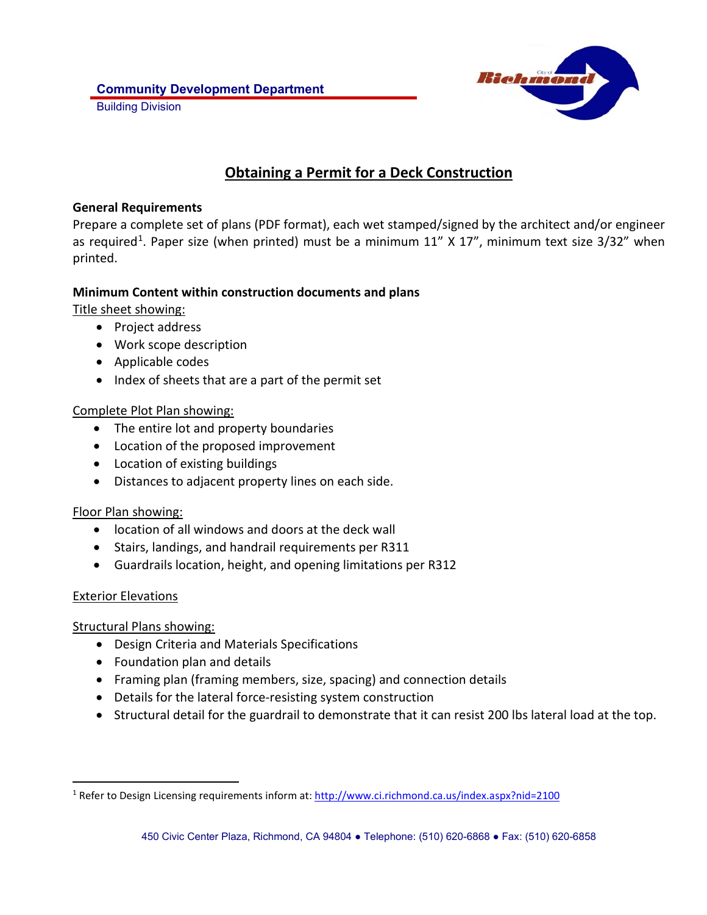

# **Obtaining a Permit for a Deck Construction**

### **General Requirements**

Prepare a complete set of plans (PDF format), each wet stamped/signed by the architect and/or engineer as required<sup>1</sup>. Paper size (when printed) must be a minimum  $11''$  X  $17''$ , minimum text size  $3/32''$  when printed.

## **Minimum Content within construction documents and plans**

Title sheet showing:

- Project address
- Work scope description
- Applicable codes
- Index of sheets that are a part of the permit set

## Complete Plot Plan showing:

- The entire lot and property boundaries
- Location of the proposed improvement
- Location of existing buildings
- Distances to adjacent property lines on each side.

## Floor Plan showing:

- location of all windows and doors at the deck wall
- Stairs, landings, and handrail requirements per R311
- Guardrails location, height, and opening limitations per R312

## Exterior Elevations

Structural Plans showing:

- Design Criteria and Materials Specifications
- Foundation plan and details
- Framing plan (framing members, size, spacing) and connection details
- Details for the lateral force-resisting system construction
- Structural detail for the guardrail to demonstrate that it can resist 200 lbs lateral load at the top.

<span id="page-0-0"></span><sup>&</sup>lt;sup>1</sup> Refer to Design Licensing requirements inform at[: http://www.ci.richmond.ca.us/index.aspx?nid=2100](http://www.ci.richmond.ca.us/index.aspx?nid=2100)